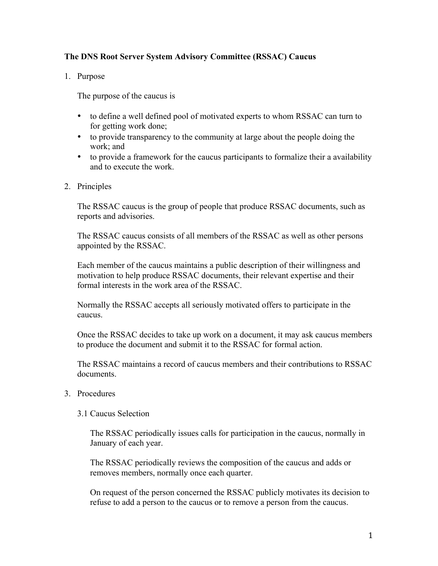## **The DNS Root Server System Advisory Committee (RSSAC) Caucus**

1. Purpose

The purpose of the caucus is

- to define a well defined pool of motivated experts to whom RSSAC can turn to for getting work done;
- to provide transparency to the community at large about the people doing the work; and
- to provide a framework for the caucus participants to formalize their a availability and to execute the work.
- 2. Principles

The RSSAC caucus is the group of people that produce RSSAC documents, such as reports and advisories.

The RSSAC caucus consists of all members of the RSSAC as well as other persons appointed by the RSSAC.

Each member of the caucus maintains a public description of their willingness and motivation to help produce RSSAC documents, their relevant expertise and their formal interests in the work area of the RSSAC.

Normally the RSSAC accepts all seriously motivated offers to participate in the caucus.

Once the RSSAC decides to take up work on a document, it may ask caucus members to produce the document and submit it to the RSSAC for formal action.

The RSSAC maintains a record of caucus members and their contributions to RSSAC documents.

- 3. Procedures
	- 3.1 Caucus Selection

The RSSAC periodically issues calls for participation in the caucus, normally in January of each year.

The RSSAC periodically reviews the composition of the caucus and adds or removes members, normally once each quarter.

On request of the person concerned the RSSAC publicly motivates its decision to refuse to add a person to the caucus or to remove a person from the caucus.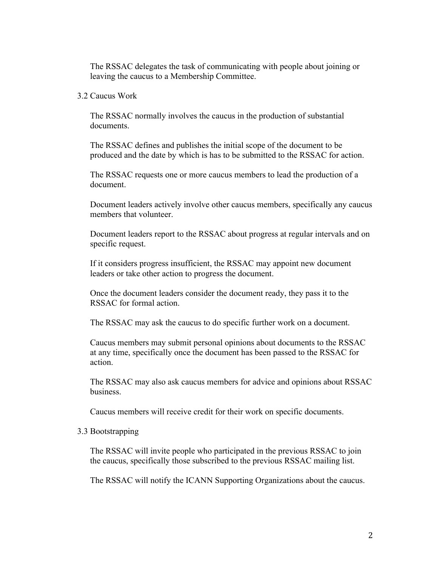The RSSAC delegates the task of communicating with people about joining or leaving the caucus to a Membership Committee.

## 3.2 Caucus Work

The RSSAC normally involves the caucus in the production of substantial documents.

The RSSAC defines and publishes the initial scope of the document to be produced and the date by which is has to be submitted to the RSSAC for action.

The RSSAC requests one or more caucus members to lead the production of a document.

Document leaders actively involve other caucus members, specifically any caucus members that volunteer.

Document leaders report to the RSSAC about progress at regular intervals and on specific request.

If it considers progress insufficient, the RSSAC may appoint new document leaders or take other action to progress the document.

Once the document leaders consider the document ready, they pass it to the RSSAC for formal action.

The RSSAC may ask the caucus to do specific further work on a document.

Caucus members may submit personal opinions about documents to the RSSAC at any time, specifically once the document has been passed to the RSSAC for action.

The RSSAC may also ask caucus members for advice and opinions about RSSAC business.

Caucus members will receive credit for their work on specific documents.

## 3.3 Bootstrapping

The RSSAC will invite people who participated in the previous RSSAC to join the caucus, specifically those subscribed to the previous RSSAC mailing list.

The RSSAC will notify the ICANN Supporting Organizations about the caucus.